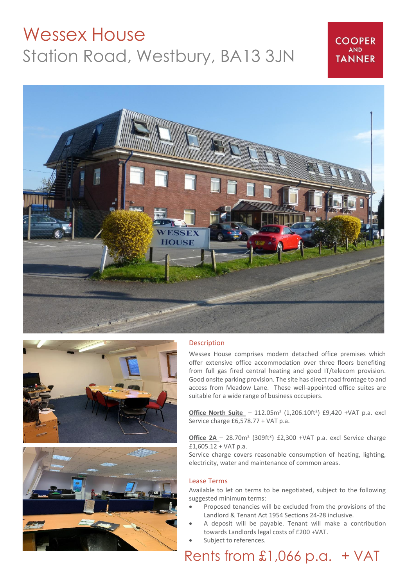# Wessex House Station Road, Westbury, BA13 3JN

### **COOPER AND TANNER**







#### **Description**

Wessex House comprises modern detached office premises which offer extensive office accommodation over three floors benefiting from full gas fired central heating and good IT/telecom provision. Good onsite parking provision. The site has direct road frontage to and access from Meadow Lane. These well-appointed office suites are suitable for a wide range of business occupiers.

**Office North Suite** - 112.05m<sup>2</sup> (1,206.10ft<sup>2</sup>) £9,420 +VAT p.a. excl Service charge £6,578.77 + VAT p.a.

**Office 2A** – 28.70m<sup>2</sup> (309ft<sup>2</sup>) £2,300 +VAT p.a. excl Service charge £1,605.12 + VAT p.a.

Service charge covers reasonable consumption of heating, lighting, electricity, water and maintenance of common areas.

#### Lease Terms

Available to let on terms to be negotiated, subject to the following suggested minimum terms:

- Proposed tenancies will be excluded from the provisions of the Landlord & Tenant Act 1954 Sections 24-28 inclusive.
- A deposit will be payable. Tenant will make a contribution towards Landlords legal costs of £200 +VAT.
- Subject to references.

## Rents from £1,066 p.a. + VAT